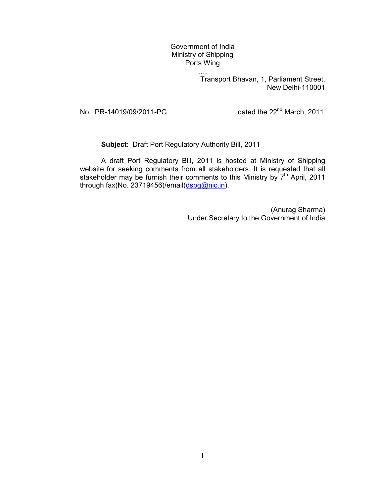## Government of India Ministry of Shipping Ports Wing

….

Transport Bhavan, 1, Parliament Street, New Delhi-110001

No.  $PR-14019/09/2011-PG$  dated the  $22<sup>nd</sup> March, 2011$ 

Subject: Draft Port Regulatory Authority Bill, 2011

 A draft Port Regulatory Bill, 2011 is hosted at Ministry of Shipping website for seeking comments from all stakeholders. It is requested that all stakeholder may be furnish their comments to this Ministry by 7<sup>th</sup> April, 2011 through fax(No. 23719456)/email(dspg@nic.in).

> (Anurag Sharma) Under Secretary to the Government of India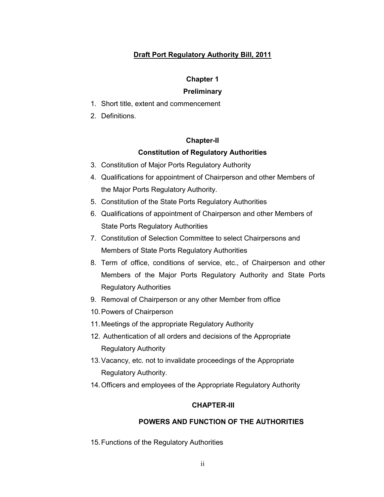# Draft Port Regulatory Authority Bill, 2011

#### Chapter 1

#### **Preliminary**

- 1. Short title, extent and commencement
- 2. Definitions.

#### Chapter-II

### Constitution of Regulatory Authorities

- 3. Constitution of Major Ports Regulatory Authority
- 4. Qualifications for appointment of Chairperson and other Members of the Major Ports Regulatory Authority.
- 5. Constitution of the State Ports Regulatory Authorities
- 6. Qualifications of appointment of Chairperson and other Members of State Ports Regulatory Authorities
- 7. Constitution of Selection Committee to select Chairpersons and Members of State Ports Regulatory Authorities
- 8. Term of office, conditions of service, etc., of Chairperson and other Members of the Major Ports Regulatory Authority and State Ports Regulatory Authorities
- 9. Removal of Chairperson or any other Member from office
- 10. Powers of Chairperson
- 11. Meetings of the appropriate Regulatory Authority
- 12. Authentication of all orders and decisions of the Appropriate Regulatory Authority
- 13. Vacancy, etc. not to invalidate proceedings of the Appropriate Regulatory Authority.
- 14. Officers and employees of the Appropriate Regulatory Authority

#### CHAPTER-III

# POWERS AND FUNCTION OF THE AUTHORITIES

15. Functions of the Regulatory Authorities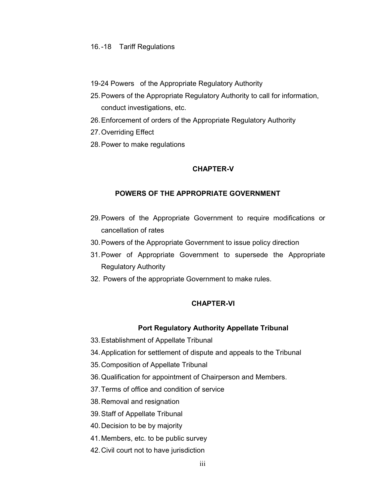#### 16. -18 Tariff Regulations

- 19-24 Powers of the Appropriate Regulatory Authority
- 25. Powers of the Appropriate Regulatory Authority to call for information, conduct investigations, etc.
- 26. Enforcement of orders of the Appropriate Regulatory Authority
- 27. Overriding Effect
- 28. Power to make regulations

#### CHAPTER-V

### POWERS OF THE APPROPRIATE GOVERNMENT

- 29. Powers of the Appropriate Government to require modifications or cancellation of rates
- 30. Powers of the Appropriate Government to issue policy direction
- 31. Power of Appropriate Government to supersede the Appropriate Regulatory Authority
- 32. Powers of the appropriate Government to make rules.

### CHAPTER-VI

#### Port Regulatory Authority Appellate Tribunal

- 33. Establishment of Appellate Tribunal
- 34. Application for settlement of dispute and appeals to the Tribunal
- 35. Composition of Appellate Tribunal
- 36. Qualification for appointment of Chairperson and Members.
- 37. Terms of office and condition of service
- 38. Removal and resignation
- 39. Staff of Appellate Tribunal
- 40. Decision to be by majority
- 41. Members, etc. to be public survey
- 42. Civil court not to have jurisdiction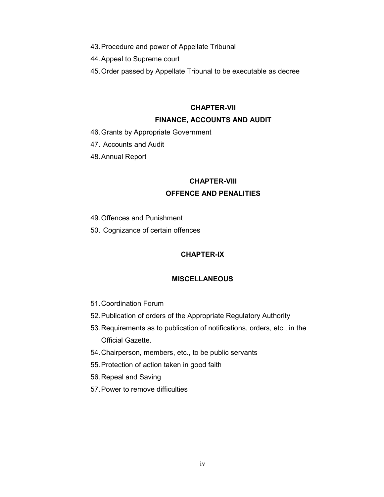43. Procedure and power of Appellate Tribunal

44. Appeal to Supreme court

45. Order passed by Appellate Tribunal to be executable as decree

### CHAPTER-VII

#### FINANCE, ACCOUNTS AND AUDIT

- 46. Grants by Appropriate Government
- 47. Accounts and Audit
- 48. Annual Report

#### CHAPTER-VIII

### OFFENCE AND PENALITIES

- 49. Offences and Punishment
- 50. Cognizance of certain offences

#### CHAPTER-IX

#### **MISCELLANEOUS**

- 51. Coordination Forum
- 52. Publication of orders of the Appropriate Regulatory Authority
- 53. Requirements as to publication of notifications, orders, etc., in the Official Gazette.
- 54. Chairperson, members, etc., to be public servants
- 55. Protection of action taken in good faith
- 56. Repeal and Saving
- 57. Power to remove difficulties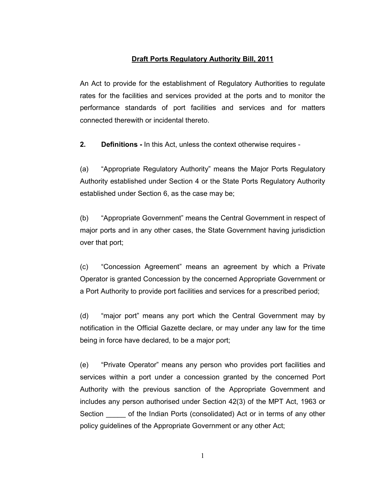# Draft Ports Regulatory Authority Bill, 2011

An Act to provide for the establishment of Regulatory Authorities to regulate rates for the facilities and services provided at the ports and to monitor the performance standards of port facilities and services and for matters connected therewith or incidental thereto.

2. Definitions - In this Act, unless the context otherwise requires -

(a) "Appropriate Regulatory Authority" means the Major Ports Regulatory Authority established under Section 4 or the State Ports Regulatory Authority established under Section 6, as the case may be;

(b) "Appropriate Government" means the Central Government in respect of major ports and in any other cases, the State Government having jurisdiction over that port;

(c) "Concession Agreement" means an agreement by which a Private Operator is granted Concession by the concerned Appropriate Government or a Port Authority to provide port facilities and services for a prescribed period;

(d) "major port" means any port which the Central Government may by notification in the Official Gazette declare, or may under any law for the time being in force have declared, to be a major port;

(e) "Private Operator" means any person who provides port facilities and services within a port under a concession granted by the concerned Port Authority with the previous sanction of the Appropriate Government and includes any person authorised under Section 42(3) of the MPT Act, 1963 or Section of the Indian Ports (consolidated) Act or in terms of any other policy guidelines of the Appropriate Government or any other Act;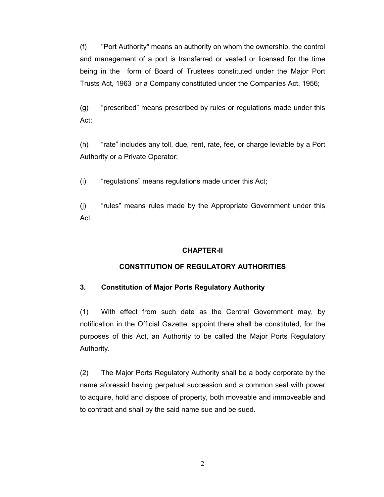(f) "Port Authority" means an authority on whom the ownership, the control and management of a port is transferred or vested or licensed for the time being in the form of Board of Trustees constituted under the Major Port Trusts Act, 1963 or a Company constituted under the Companies Act, 1956;

(g) "prescribed" means prescribed by rules or regulations made under this Act;

(h) "rate" includes any toll, due, rent, rate, fee, or charge leviable by a Port Authority or a Private Operator;

(i) "regulations" means regulations made under this Act;

(j) "rules" means rules made by the Appropriate Government under this Act.

## CHAPTER-II

# CONSTITUTION OF REGULATORY AUTHORITIES

# 3. Constitution of Major Ports Regulatory Authority

(1) With effect from such date as the Central Government may, by notification in the Official Gazette, appoint there shall be constituted, for the purposes of this Act, an Authority to be called the Major Ports Regulatory Authority.

(2) The Major Ports Regulatory Authority shall be a body corporate by the name aforesaid having perpetual succession and a common seal with power to acquire, hold and dispose of property, both moveable and immoveable and to contract and shall by the said name sue and be sued.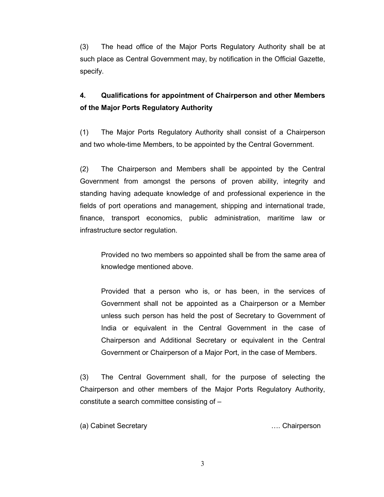(3) The head office of the Major Ports Regulatory Authority shall be at such place as Central Government may, by notification in the Official Gazette, specify.

# 4. Qualifications for appointment of Chairperson and other Members of the Major Ports Regulatory Authority

(1) The Major Ports Regulatory Authority shall consist of a Chairperson and two whole-time Members, to be appointed by the Central Government.

(2) The Chairperson and Members shall be appointed by the Central Government from amongst the persons of proven ability, integrity and standing having adequate knowledge of and professional experience in the fields of port operations and management, shipping and international trade, finance, transport economics, public administration, maritime law or infrastructure sector regulation.

Provided no two members so appointed shall be from the same area of knowledge mentioned above.

Provided that a person who is, or has been, in the services of Government shall not be appointed as a Chairperson or a Member unless such person has held the post of Secretary to Government of India or equivalent in the Central Government in the case of Chairperson and Additional Secretary or equivalent in the Central Government or Chairperson of a Major Port, in the case of Members.

(3) The Central Government shall, for the purpose of selecting the Chairperson and other members of the Major Ports Regulatory Authority, constitute a search committee consisting of –

(a) Cabinet Secretary …. Chairperson

3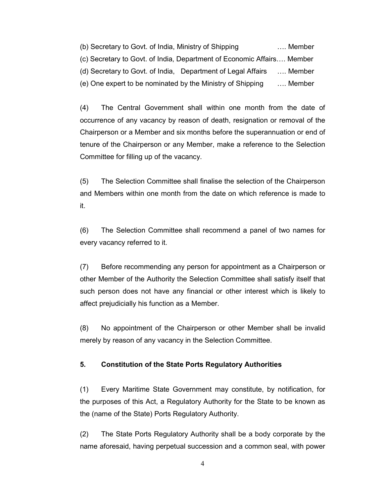(b) Secretary to Govt. of India, Ministry of Shipping …. Member (c) Secretary to Govt. of India, Department of Economic Affairs…. Member (d) Secretary to Govt. of India, Department of Legal Affairs …. Member (e) One expert to be nominated by the Ministry of Shipping …. Member

(4) The Central Government shall within one month from the date of occurrence of any vacancy by reason of death, resignation or removal of the Chairperson or a Member and six months before the superannuation or end of tenure of the Chairperson or any Member, make a reference to the Selection Committee for filling up of the vacancy.

(5) The Selection Committee shall finalise the selection of the Chairperson and Members within one month from the date on which reference is made to it.

(6) The Selection Committee shall recommend a panel of two names for every vacancy referred to it.

(7) Before recommending any person for appointment as a Chairperson or other Member of the Authority the Selection Committee shall satisfy itself that such person does not have any financial or other interest which is likely to affect prejudicially his function as a Member.

(8) No appointment of the Chairperson or other Member shall be invalid merely by reason of any vacancy in the Selection Committee.

## 5. Constitution of the State Ports Regulatory Authorities

(1) Every Maritime State Government may constitute, by notification, for the purposes of this Act, a Regulatory Authority for the State to be known as the (name of the State) Ports Regulatory Authority.

(2) The State Ports Regulatory Authority shall be a body corporate by the name aforesaid, having perpetual succession and a common seal, with power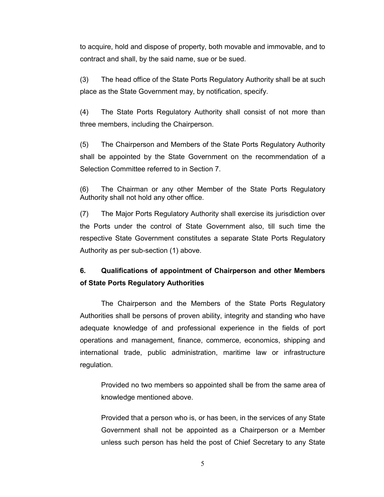to acquire, hold and dispose of property, both movable and immovable, and to contract and shall, by the said name, sue or be sued.

(3) The head office of the State Ports Regulatory Authority shall be at such place as the State Government may, by notification, specify.

(4) The State Ports Regulatory Authority shall consist of not more than three members, including the Chairperson.

(5) The Chairperson and Members of the State Ports Regulatory Authority shall be appointed by the State Government on the recommendation of a Selection Committee referred to in Section 7.

(6) The Chairman or any other Member of the State Ports Regulatory Authority shall not hold any other office.

(7) The Major Ports Regulatory Authority shall exercise its jurisdiction over the Ports under the control of State Government also, till such time the respective State Government constitutes a separate State Ports Regulatory Authority as per sub-section (1) above.

# 6. Qualifications of appointment of Chairperson and other Members of State Ports Regulatory Authorities

 The Chairperson and the Members of the State Ports Regulatory Authorities shall be persons of proven ability, integrity and standing who have adequate knowledge of and professional experience in the fields of port operations and management, finance, commerce, economics, shipping and international trade, public administration, maritime law or infrastructure regulation.

Provided no two members so appointed shall be from the same area of knowledge mentioned above.

Provided that a person who is, or has been, in the services of any State Government shall not be appointed as a Chairperson or a Member unless such person has held the post of Chief Secretary to any State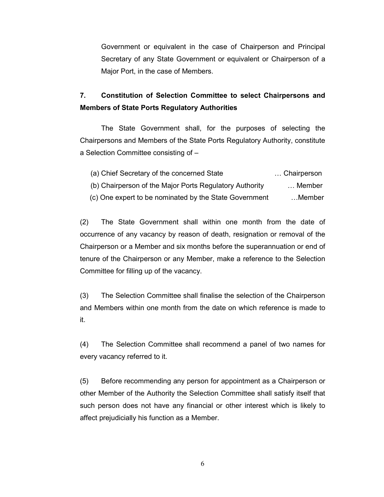Government or equivalent in the case of Chairperson and Principal Secretary of any State Government or equivalent or Chairperson of a Major Port, in the case of Members.

# 7. Constitution of Selection Committee to select Chairpersons and Members of State Ports Regulatory Authorities

 The State Government shall, for the purposes of selecting the Chairpersons and Members of the State Ports Regulatory Authority, constitute a Selection Committee consisting of –

| Chairperson | (a) Chief Secretary of the concerned State              |
|-------------|---------------------------------------------------------|
| Member      | (b) Chairperson of the Major Ports Regulatory Authority |
| Member      | (c) One expert to be nominated by the State Government  |

(2) The State Government shall within one month from the date of occurrence of any vacancy by reason of death, resignation or removal of the Chairperson or a Member and six months before the superannuation or end of tenure of the Chairperson or any Member, make a reference to the Selection Committee for filling up of the vacancy.

(3) The Selection Committee shall finalise the selection of the Chairperson and Members within one month from the date on which reference is made to it.

(4) The Selection Committee shall recommend a panel of two names for every vacancy referred to it.

(5) Before recommending any person for appointment as a Chairperson or other Member of the Authority the Selection Committee shall satisfy itself that such person does not have any financial or other interest which is likely to affect prejudicially his function as a Member.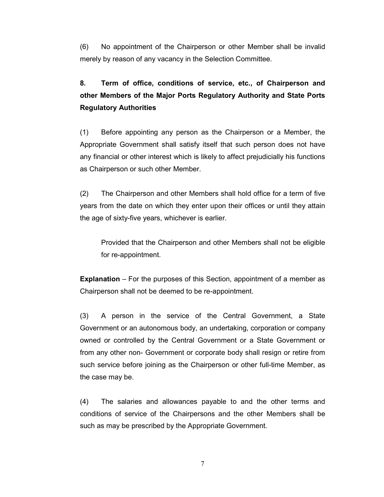(6) No appointment of the Chairperson or other Member shall be invalid merely by reason of any vacancy in the Selection Committee.

# 8. Term of office, conditions of service, etc., of Chairperson and other Members of the Major Ports Regulatory Authority and State Ports Regulatory Authorities

(1) Before appointing any person as the Chairperson or a Member, the Appropriate Government shall satisfy itself that such person does not have any financial or other interest which is likely to affect prejudicially his functions as Chairperson or such other Member.

(2) The Chairperson and other Members shall hold office for a term of five years from the date on which they enter upon their offices or until they attain the age of sixty-five years, whichever is earlier.

Provided that the Chairperson and other Members shall not be eligible for re-appointment.

Explanation – For the purposes of this Section, appointment of a member as Chairperson shall not be deemed to be re-appointment.

(3) A person in the service of the Central Government, a State Government or an autonomous body, an undertaking, corporation or company owned or controlled by the Central Government or a State Government or from any other non- Government or corporate body shall resign or retire from such service before joining as the Chairperson or other full-time Member, as the case may be.

(4) The salaries and allowances payable to and the other terms and conditions of service of the Chairpersons and the other Members shall be such as may be prescribed by the Appropriate Government.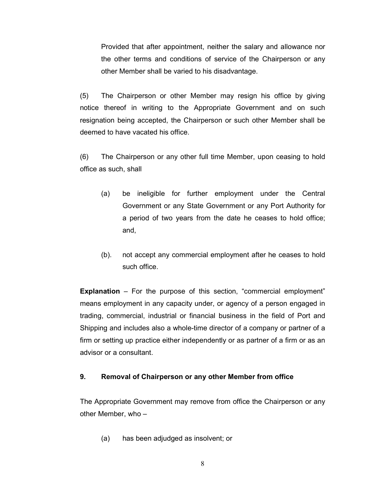Provided that after appointment, neither the salary and allowance nor the other terms and conditions of service of the Chairperson or any other Member shall be varied to his disadvantage.

(5) The Chairperson or other Member may resign his office by giving notice thereof in writing to the Appropriate Government and on such resignation being accepted, the Chairperson or such other Member shall be deemed to have vacated his office.

(6) The Chairperson or any other full time Member, upon ceasing to hold office as such, shall

- (a) be ineligible for further employment under the Central Government or any State Government or any Port Authority for a period of two years from the date he ceases to hold office; and,
- (b). not accept any commercial employment after he ceases to hold such office.

**Explanation** – For the purpose of this section, "commercial employment" means employment in any capacity under, or agency of a person engaged in trading, commercial, industrial or financial business in the field of Port and Shipping and includes also a whole-time director of a company or partner of a firm or setting up practice either independently or as partner of a firm or as an advisor or a consultant.

### 9. Removal of Chairperson or any other Member from office

The Appropriate Government may remove from office the Chairperson or any other Member, who –

(a) has been adjudged as insolvent; or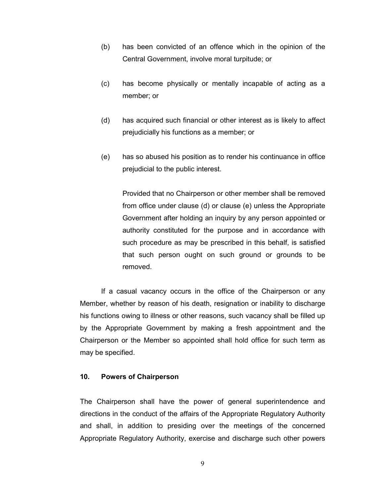- (b) has been convicted of an offence which in the opinion of the Central Government, involve moral turpitude; or
- (c) has become physically or mentally incapable of acting as a member; or
- (d) has acquired such financial or other interest as is likely to affect prejudicially his functions as a member; or
- (e) has so abused his position as to render his continuance in office prejudicial to the public interest.

Provided that no Chairperson or other member shall be removed from office under clause (d) or clause (e) unless the Appropriate Government after holding an inquiry by any person appointed or authority constituted for the purpose and in accordance with such procedure as may be prescribed in this behalf, is satisfied that such person ought on such ground or grounds to be removed.

If a casual vacancy occurs in the office of the Chairperson or any Member, whether by reason of his death, resignation or inability to discharge his functions owing to illness or other reasons, such vacancy shall be filled up by the Appropriate Government by making a fresh appointment and the Chairperson or the Member so appointed shall hold office for such term as may be specified.

## 10. Powers of Chairperson

The Chairperson shall have the power of general superintendence and directions in the conduct of the affairs of the Appropriate Regulatory Authority and shall, in addition to presiding over the meetings of the concerned Appropriate Regulatory Authority, exercise and discharge such other powers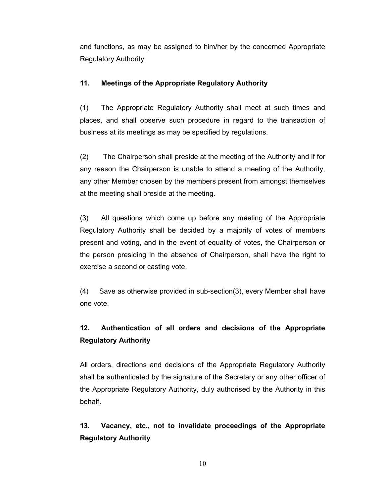and functions, as may be assigned to him/her by the concerned Appropriate Regulatory Authority.

# 11. Meetings of the Appropriate Regulatory Authority

(1) The Appropriate Regulatory Authority shall meet at such times and places, and shall observe such procedure in regard to the transaction of business at its meetings as may be specified by regulations.

(2) The Chairperson shall preside at the meeting of the Authority and if for any reason the Chairperson is unable to attend a meeting of the Authority, any other Member chosen by the members present from amongst themselves at the meeting shall preside at the meeting.

(3) All questions which come up before any meeting of the Appropriate Regulatory Authority shall be decided by a majority of votes of members present and voting, and in the event of equality of votes, the Chairperson or the person presiding in the absence of Chairperson, shall have the right to exercise a second or casting vote.

(4) Save as otherwise provided in sub-section(3), every Member shall have one vote.

# 12. Authentication of all orders and decisions of the Appropriate Regulatory Authority

All orders, directions and decisions of the Appropriate Regulatory Authority shall be authenticated by the signature of the Secretary or any other officer of the Appropriate Regulatory Authority, duly authorised by the Authority in this behalf.

13. Vacancy, etc., not to invalidate proceedings of the Appropriate Regulatory Authority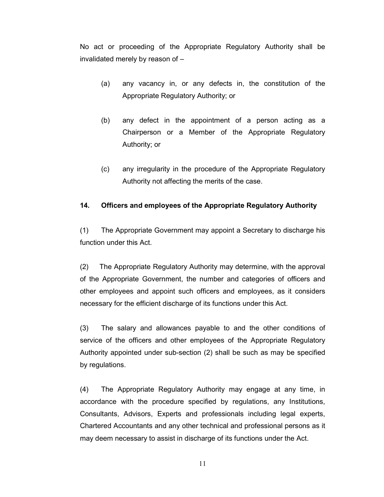No act or proceeding of the Appropriate Regulatory Authority shall be invalidated merely by reason of –

- (a) any vacancy in, or any defects in, the constitution of the Appropriate Regulatory Authority; or
- (b) any defect in the appointment of a person acting as a Chairperson or a Member of the Appropriate Regulatory Authority; or
- (c) any irregularity in the procedure of the Appropriate Regulatory Authority not affecting the merits of the case.

# 14. Officers and employees of the Appropriate Regulatory Authority

(1) The Appropriate Government may appoint a Secretary to discharge his function under this Act.

(2) The Appropriate Regulatory Authority may determine, with the approval of the Appropriate Government, the number and categories of officers and other employees and appoint such officers and employees, as it considers necessary for the efficient discharge of its functions under this Act.

(3) The salary and allowances payable to and the other conditions of service of the officers and other employees of the Appropriate Regulatory Authority appointed under sub-section (2) shall be such as may be specified by regulations.

(4) The Appropriate Regulatory Authority may engage at any time, in accordance with the procedure specified by regulations, any Institutions, Consultants, Advisors, Experts and professionals including legal experts, Chartered Accountants and any other technical and professional persons as it may deem necessary to assist in discharge of its functions under the Act.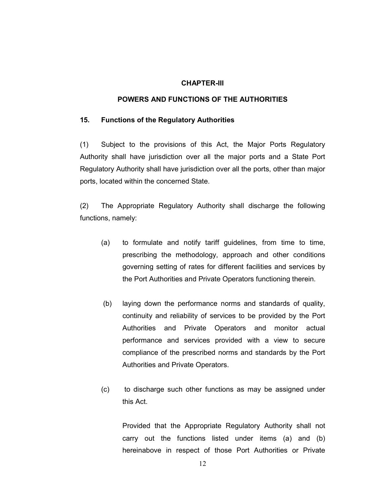#### CHAPTER-III

### POWERS AND FUNCTIONS OF THE AUTHORITIES

#### 15. Functions of the Regulatory Authorities

(1) Subject to the provisions of this Act, the Major Ports Regulatory Authority shall have jurisdiction over all the major ports and a State Port Regulatory Authority shall have jurisdiction over all the ports, other than major ports, located within the concerned State.

(2) The Appropriate Regulatory Authority shall discharge the following functions, namely:

- (a) to formulate and notify tariff guidelines, from time to time, prescribing the methodology, approach and other conditions governing setting of rates for different facilities and services by the Port Authorities and Private Operators functioning therein.
- (b) laying down the performance norms and standards of quality, continuity and reliability of services to be provided by the Port Authorities and Private Operators and monitor actual performance and services provided with a view to secure compliance of the prescribed norms and standards by the Port Authorities and Private Operators.
- (c) to discharge such other functions as may be assigned under this Act.

Provided that the Appropriate Regulatory Authority shall not carry out the functions listed under items (a) and (b) hereinabove in respect of those Port Authorities or Private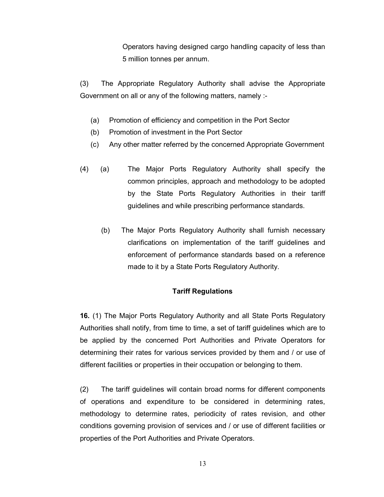Operators having designed cargo handling capacity of less than 5 million tonnes per annum.

(3) The Appropriate Regulatory Authority shall advise the Appropriate Government on all or any of the following matters, namely :-

- (a) Promotion of efficiency and competition in the Port Sector
- (b) Promotion of investment in the Port Sector
- (c) Any other matter referred by the concerned Appropriate Government
- (4) (a) The Major Ports Regulatory Authority shall specify the common principles, approach and methodology to be adopted by the State Ports Regulatory Authorities in their tariff guidelines and while prescribing performance standards.
	- (b) The Major Ports Regulatory Authority shall furnish necessary clarifications on implementation of the tariff guidelines and enforcement of performance standards based on a reference made to it by a State Ports Regulatory Authority.

## Tariff Regulations

16. (1) The Major Ports Regulatory Authority and all State Ports Regulatory Authorities shall notify, from time to time, a set of tariff guidelines which are to be applied by the concerned Port Authorities and Private Operators for determining their rates for various services provided by them and / or use of different facilities or properties in their occupation or belonging to them.

(2) The tariff guidelines will contain broad norms for different components of operations and expenditure to be considered in determining rates, methodology to determine rates, periodicity of rates revision, and other conditions governing provision of services and / or use of different facilities or properties of the Port Authorities and Private Operators.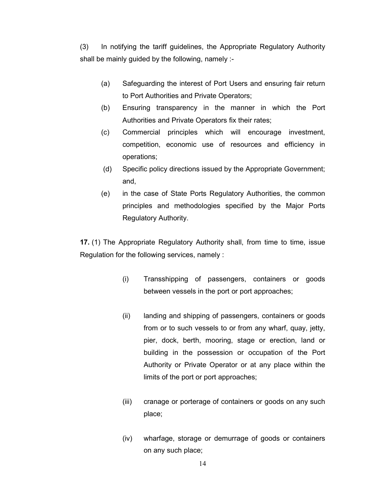(3) In notifying the tariff guidelines, the Appropriate Regulatory Authority shall be mainly guided by the following, namely :-

- (a) Safeguarding the interest of Port Users and ensuring fair return to Port Authorities and Private Operators;
- (b) Ensuring transparency in the manner in which the Port Authorities and Private Operators fix their rates;
- (c) Commercial principles which will encourage investment, competition, economic use of resources and efficiency in operations;
- (d) Specific policy directions issued by the Appropriate Government; and,
- (e) in the case of State Ports Regulatory Authorities, the common principles and methodologies specified by the Major Ports Regulatory Authority.

17. (1) The Appropriate Regulatory Authority shall, from time to time, issue Regulation for the following services, namely :

- (i) Transshipping of passengers, containers or goods between vessels in the port or port approaches;
- (ii) landing and shipping of passengers, containers or goods from or to such vessels to or from any wharf, quay, jetty, pier, dock, berth, mooring, stage or erection, land or building in the possession or occupation of the Port Authority or Private Operator or at any place within the limits of the port or port approaches;
- (iii) cranage or porterage of containers or goods on any such place;
- (iv) wharfage, storage or demurrage of goods or containers on any such place;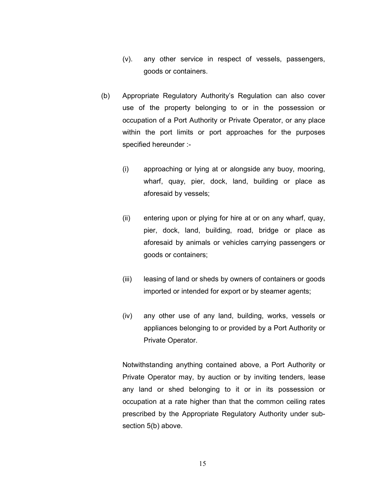- (v). any other service in respect of vessels, passengers, goods or containers.
- (b) Appropriate Regulatory Authority's Regulation can also cover use of the property belonging to or in the possession or occupation of a Port Authority or Private Operator, or any place within the port limits or port approaches for the purposes specified hereunder :-
	- (i) approaching or lying at or alongside any buoy, mooring, wharf, quay, pier, dock, land, building or place as aforesaid by vessels;
	- (ii) entering upon or plying for hire at or on any wharf, quay, pier, dock, land, building, road, bridge or place as aforesaid by animals or vehicles carrying passengers or goods or containers;
	- (iii) leasing of land or sheds by owners of containers or goods imported or intended for export or by steamer agents;
	- (iv) any other use of any land, building, works, vessels or appliances belonging to or provided by a Port Authority or Private Operator.

Notwithstanding anything contained above, a Port Authority or Private Operator may, by auction or by inviting tenders, lease any land or shed belonging to it or in its possession or occupation at a rate higher than that the common ceiling rates prescribed by the Appropriate Regulatory Authority under subsection 5(b) above.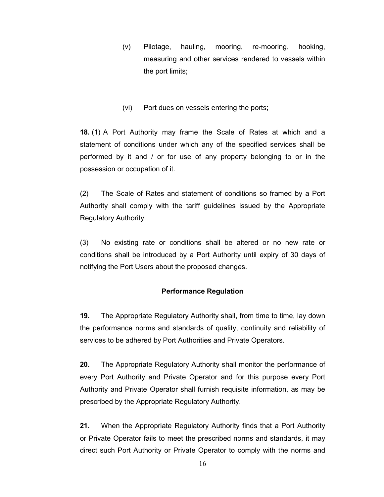- (v) Pilotage, hauling, mooring, re-mooring, hooking, measuring and other services rendered to vessels within the port limits;
- (vi) Port dues on vessels entering the ports;

18. (1) A Port Authority may frame the Scale of Rates at which and a statement of conditions under which any of the specified services shall be performed by it and / or for use of any property belonging to or in the possession or occupation of it.

(2) The Scale of Rates and statement of conditions so framed by a Port Authority shall comply with the tariff guidelines issued by the Appropriate Regulatory Authority.

(3) No existing rate or conditions shall be altered or no new rate or conditions shall be introduced by a Port Authority until expiry of 30 days of notifying the Port Users about the proposed changes.

# Performance Regulation

19. The Appropriate Regulatory Authority shall, from time to time, lay down the performance norms and standards of quality, continuity and reliability of services to be adhered by Port Authorities and Private Operators.

20. The Appropriate Regulatory Authority shall monitor the performance of every Port Authority and Private Operator and for this purpose every Port Authority and Private Operator shall furnish requisite information, as may be prescribed by the Appropriate Regulatory Authority.

21. When the Appropriate Regulatory Authority finds that a Port Authority or Private Operator fails to meet the prescribed norms and standards, it may direct such Port Authority or Private Operator to comply with the norms and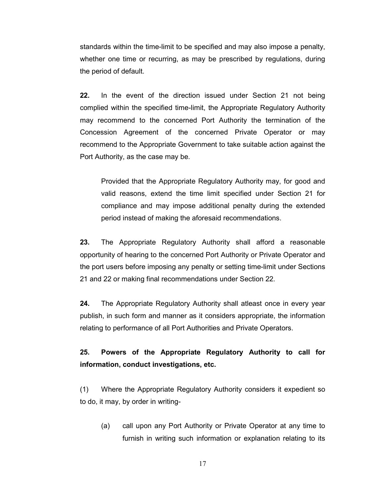standards within the time-limit to be specified and may also impose a penalty, whether one time or recurring, as may be prescribed by regulations, during the period of default.

22. In the event of the direction issued under Section 21 not being complied within the specified time-limit, the Appropriate Regulatory Authority may recommend to the concerned Port Authority the termination of the Concession Agreement of the concerned Private Operator or may recommend to the Appropriate Government to take suitable action against the Port Authority, as the case may be.

Provided that the Appropriate Regulatory Authority may, for good and valid reasons, extend the time limit specified under Section 21 for compliance and may impose additional penalty during the extended period instead of making the aforesaid recommendations.

23. The Appropriate Regulatory Authority shall afford a reasonable opportunity of hearing to the concerned Port Authority or Private Operator and the port users before imposing any penalty or setting time-limit under Sections 21 and 22 or making final recommendations under Section 22.

24. The Appropriate Regulatory Authority shall atleast once in every year publish, in such form and manner as it considers appropriate, the information relating to performance of all Port Authorities and Private Operators.

# 25. Powers of the Appropriate Regulatory Authority to call for information, conduct investigations, etc.

(1) Where the Appropriate Regulatory Authority considers it expedient so to do, it may, by order in writing-

(a) call upon any Port Authority or Private Operator at any time to furnish in writing such information or explanation relating to its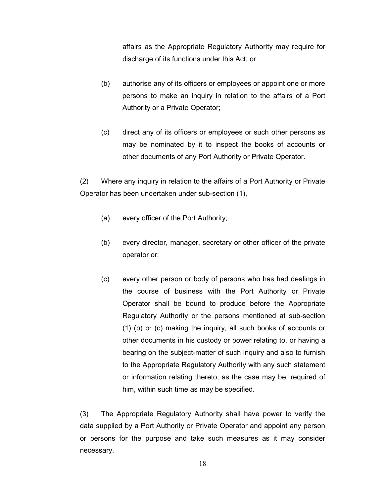affairs as the Appropriate Regulatory Authority may require for discharge of its functions under this Act; or

- (b) authorise any of its officers or employees or appoint one or more persons to make an inquiry in relation to the affairs of a Port Authority or a Private Operator;
- (c) direct any of its officers or employees or such other persons as may be nominated by it to inspect the books of accounts or other documents of any Port Authority or Private Operator.

(2) Where any inquiry in relation to the affairs of a Port Authority or Private Operator has been undertaken under sub-section (1),

- (a) every officer of the Port Authority;
- (b) every director, manager, secretary or other officer of the private operator or;
- (c) every other person or body of persons who has had dealings in the course of business with the Port Authority or Private Operator shall be bound to produce before the Appropriate Regulatory Authority or the persons mentioned at sub-section (1) (b) or (c) making the inquiry, all such books of accounts or other documents in his custody or power relating to, or having a bearing on the subject-matter of such inquiry and also to furnish to the Appropriate Regulatory Authority with any such statement or information relating thereto, as the case may be, required of him, within such time as may be specified.

(3) The Appropriate Regulatory Authority shall have power to verify the data supplied by a Port Authority or Private Operator and appoint any person or persons for the purpose and take such measures as it may consider necessary.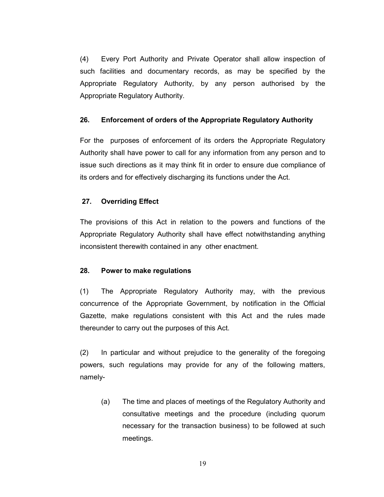(4) Every Port Authority and Private Operator shall allow inspection of such facilities and documentary records, as may be specified by the Appropriate Regulatory Authority, by any person authorised by the Appropriate Regulatory Authority.

## 26. Enforcement of orders of the Appropriate Regulatory Authority

For the purposes of enforcement of its orders the Appropriate Regulatory Authority shall have power to call for any information from any person and to issue such directions as it may think fit in order to ensure due compliance of its orders and for effectively discharging its functions under the Act.

# 27. Overriding Effect

The provisions of this Act in relation to the powers and functions of the Appropriate Regulatory Authority shall have effect notwithstanding anything inconsistent therewith contained in any other enactment.

## 28. Power to make regulations

(1) The Appropriate Regulatory Authority may, with the previous concurrence of the Appropriate Government, by notification in the Official Gazette, make regulations consistent with this Act and the rules made thereunder to carry out the purposes of this Act.

(2) In particular and without prejudice to the generality of the foregoing powers, such regulations may provide for any of the following matters, namely-

(a) The time and places of meetings of the Regulatory Authority and consultative meetings and the procedure (including quorum necessary for the transaction business) to be followed at such meetings.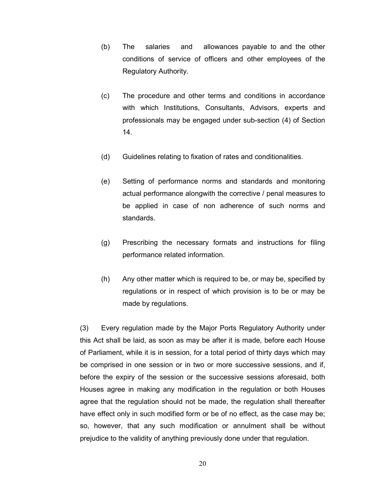- (b) The salaries and allowances payable to and the other conditions of service of officers and other employees of the Regulatory Authority.
- (c) The procedure and other terms and conditions in accordance with which Institutions, Consultants, Advisors, experts and professionals may be engaged under sub-section (4) of Section 14.
- (d) Guidelines relating to fixation of rates and conditionalities.
- (e) Setting of performance norms and standards and monitoring actual performance alongwith the corrective / penal measures to be applied in case of non adherence of such norms and standards.
- (g) Prescribing the necessary formats and instructions for filing performance related information.
- (h) Any other matter which is required to be, or may be, specified by regulations or in respect of which provision is to be or may be made by regulations.

(3) Every regulation made by the Major Ports Regulatory Authority under this Act shall be laid, as soon as may be after it is made, before each House of Parliament, while it is in session, for a total period of thirty days which may be comprised in one session or in two or more successive sessions, and if, before the expiry of the session or the successive sessions aforesaid, both Houses agree in making any modification in the regulation or both Houses agree that the regulation should not be made, the regulation shall thereafter have effect only in such modified form or be of no effect, as the case may be; so, however, that any such modification or annulment shall be without prejudice to the validity of anything previously done under that regulation.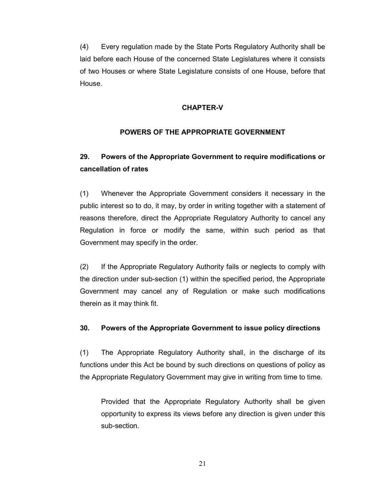(4) Every regulation made by the State Ports Regulatory Authority shall be laid before each House of the concerned State Legislatures where it consists of two Houses or where State Legislature consists of one House, before that House.

#### CHAPTER-V

### POWERS OF THE APPROPRIATE GOVERNMENT

# 29. Powers of the Appropriate Government to require modifications or cancellation of rates

(1) Whenever the Appropriate Government considers it necessary in the public interest so to do, it may, by order in writing together with a statement of reasons therefore, direct the Appropriate Regulatory Authority to cancel any Regulation in force or modify the same, within such period as that Government may specify in the order.

(2) If the Appropriate Regulatory Authority fails or neglects to comply with the direction under sub-section (1) within the specified period, the Appropriate Government may cancel any of Regulation or make such modifications therein as it may think fit.

## 30. Powers of the Appropriate Government to issue policy directions

(1) The Appropriate Regulatory Authority shall, in the discharge of its functions under this Act be bound by such directions on questions of policy as the Appropriate Regulatory Government may give in writing from time to time.

Provided that the Appropriate Regulatory Authority shall be given opportunity to express its views before any direction is given under this sub-section.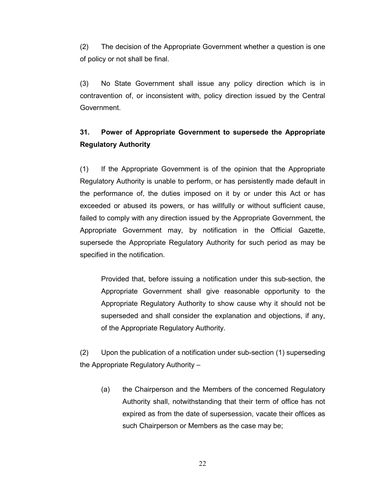(2) The decision of the Appropriate Government whether a question is one of policy or not shall be final.

(3) No State Government shall issue any policy direction which is in contravention of, or inconsistent with, policy direction issued by the Central Government.

# 31. Power of Appropriate Government to supersede the Appropriate Regulatory Authority

(1) If the Appropriate Government is of the opinion that the Appropriate Regulatory Authority is unable to perform, or has persistently made default in the performance of, the duties imposed on it by or under this Act or has exceeded or abused its powers, or has willfully or without sufficient cause, failed to comply with any direction issued by the Appropriate Government, the Appropriate Government may, by notification in the Official Gazette, supersede the Appropriate Regulatory Authority for such period as may be specified in the notification.

Provided that, before issuing a notification under this sub-section, the Appropriate Government shall give reasonable opportunity to the Appropriate Regulatory Authority to show cause why it should not be superseded and shall consider the explanation and objections, if any, of the Appropriate Regulatory Authority.

(2) Upon the publication of a notification under sub-section (1) superseding the Appropriate Regulatory Authority –

(a) the Chairperson and the Members of the concerned Regulatory Authority shall, notwithstanding that their term of office has not expired as from the date of supersession, vacate their offices as such Chairperson or Members as the case may be;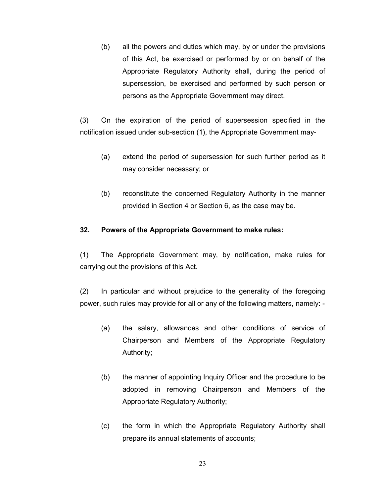(b) all the powers and duties which may, by or under the provisions of this Act, be exercised or performed by or on behalf of the Appropriate Regulatory Authority shall, during the period of supersession, be exercised and performed by such person or persons as the Appropriate Government may direct.

(3) On the expiration of the period of supersession specified in the notification issued under sub-section (1), the Appropriate Government may-

- (a) extend the period of supersession for such further period as it may consider necessary; or
- (b) reconstitute the concerned Regulatory Authority in the manner provided in Section 4 or Section 6, as the case may be.

## 32. Powers of the Appropriate Government to make rules:

(1) The Appropriate Government may, by notification, make rules for carrying out the provisions of this Act.

(2) In particular and without prejudice to the generality of the foregoing power, such rules may provide for all or any of the following matters, namely: -

- (a) the salary, allowances and other conditions of service of Chairperson and Members of the Appropriate Regulatory Authority;
- (b) the manner of appointing Inquiry Officer and the procedure to be adopted in removing Chairperson and Members of the Appropriate Regulatory Authority;
- (c) the form in which the Appropriate Regulatory Authority shall prepare its annual statements of accounts;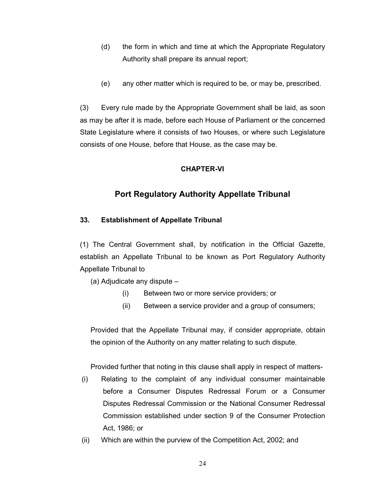- (d) the form in which and time at which the Appropriate Regulatory Authority shall prepare its annual report;
- (e) any other matter which is required to be, or may be, prescribed.

(3) Every rule made by the Appropriate Government shall be laid, as soon as may be after it is made, before each House of Parliament or the concerned State Legislature where it consists of two Houses, or where such Legislature consists of one House, before that House, as the case may be.

### CHAPTER-VI

# Port Regulatory Authority Appellate Tribunal

## 33. Establishment of Appellate Tribunal

(1) The Central Government shall, by notification in the Official Gazette, establish an Appellate Tribunal to be known as Port Regulatory Authority Appellate Tribunal to

(a) Adjudicate any dispute –

- (i) Between two or more service providers; or
- (ii) Between a service provider and a group of consumers;

Provided that the Appellate Tribunal may, if consider appropriate, obtain the opinion of the Authority on any matter relating to such dispute.

Provided further that noting in this clause shall apply in respect of matters-

- (i) Relating to the complaint of any individual consumer maintainable before a Consumer Disputes Redressal Forum or a Consumer Disputes Redressal Commission or the National Consumer Redressal Commission established under section 9 of the Consumer Protection Act, 1986; or
- (ii) Which are within the purview of the Competition Act, 2002; and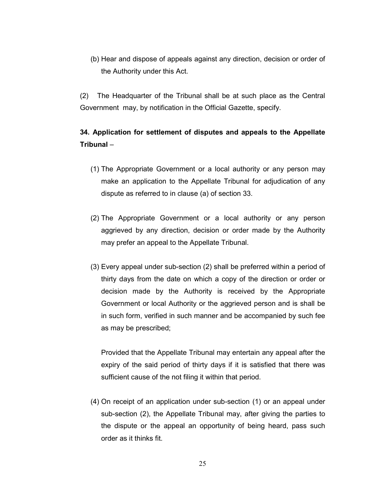(b) Hear and dispose of appeals against any direction, decision or order of the Authority under this Act.

(2) The Headquarter of the Tribunal shall be at such place as the Central Government may, by notification in the Official Gazette, specify.

# 34. Application for settlement of disputes and appeals to the Appellate Tribunal –

- (1) The Appropriate Government or a local authority or any person may make an application to the Appellate Tribunal for adjudication of any dispute as referred to in clause (a) of section 33.
- (2) The Appropriate Government or a local authority or any person aggrieved by any direction, decision or order made by the Authority may prefer an appeal to the Appellate Tribunal.
- (3) Every appeal under sub-section (2) shall be preferred within a period of thirty days from the date on which a copy of the direction or order or decision made by the Authority is received by the Appropriate Government or local Authority or the aggrieved person and is shall be in such form, verified in such manner and be accompanied by such fee as may be prescribed;

Provided that the Appellate Tribunal may entertain any appeal after the expiry of the said period of thirty days if it is satisfied that there was sufficient cause of the not filing it within that period.

(4) On receipt of an application under sub-section (1) or an appeal under sub-section (2), the Appellate Tribunal may, after giving the parties to the dispute or the appeal an opportunity of being heard, pass such order as it thinks fit.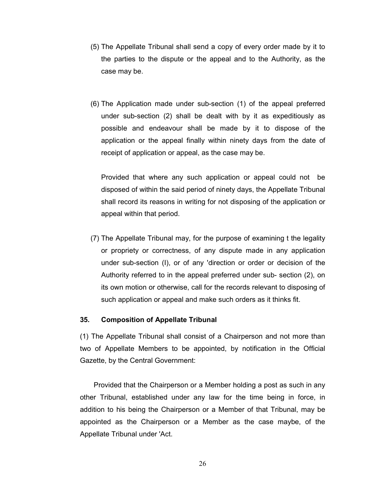- (5) The Appellate Tribunal shall send a copy of every order made by it to the parties to the dispute or the appeal and to the Authority, as the case may be.
- (6) The Application made under sub-section (1) of the appeal preferred under sub-section (2) shall be dealt with by it as expeditiously as possible and endeavour shall be made by it to dispose of the application or the appeal finally within ninety days from the date of receipt of application or appeal, as the case may be.

Provided that where any such application or appeal could not be disposed of within the said period of ninety days, the Appellate Tribunal shall record its reasons in writing for not disposing of the application or appeal within that period.

(7) The Appellate Tribunal may, for the purpose of examining t the legality or propriety or correctness, of any dispute made in any application under sub-section (I), or of any 'direction or order or decision of the Authority referred to in the appeal preferred under sub- section (2), on its own motion or otherwise, call for the records relevant to disposing of such application or appeal and make such orders as it thinks fit.

#### 35. Composition of Appellate Tribunal

(1) The Appellate Tribunal shall consist of a Chairperson and not more than two of Appellate Members to be appointed, by notification in the Official Gazette, by the Central Government:

 Provided that the Chairperson or a Member holding a post as such in any other Tribunal, established under any law for the time being in force, in addition to his being the Chairperson or a Member of that Tribunal, may be appointed as the Chairperson or a Member as the case maybe, of the Appellate Tribunal under 'Act.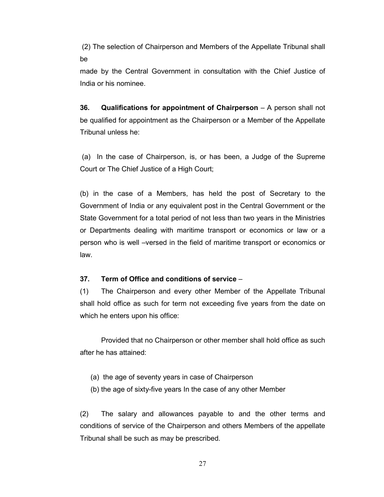(2) The selection of Chairperson and Members of the Appellate Tribunal shall be

made by the Central Government in consultation with the Chief Justice of India or his nominee.

36. Qualifications for appointment of Chairperson – A person shall not be qualified for appointment as the Chairperson or a Member of the Appellate Tribunal unless he:

 (a) In the case of Chairperson, is, or has been, a Judge of the Supreme Court or The Chief Justice of a High Court;

(b) in the case of a Members, has held the post of Secretary to the Government of India or any equivalent post in the Central Government or the State Government for a total period of not less than two years in the Ministries or Departments dealing with maritime transport or economics or law or a person who is well –versed in the field of maritime transport or economics or law.

#### 37. Term of Office and conditions of service –

(1) The Chairperson and every other Member of the Appellate Tribunal shall hold office as such for term not exceeding five years from the date on which he enters upon his office:

 Provided that no Chairperson or other member shall hold office as such after he has attained:

- (a) the age of seventy years in case of Chairperson
- (b) the age of sixty-five years In the case of any other Member

(2) The salary and allowances payable to and the other terms and conditions of service of the Chairperson and others Members of the appellate Tribunal shall be such as may be prescribed.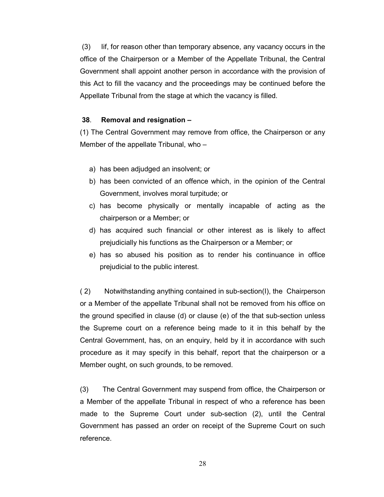(3) Iif, for reason other than temporary absence, any vacancy occurs in the office of the Chairperson or a Member of the Appellate Tribunal, the Central Government shall appoint another person in accordance with the provision of this Act to fill the vacancy and the proceedings may be continued before the Appellate Tribunal from the stage at which the vacancy is filled.

#### 38. Removal and resignation –

(1) The Central Government may remove from office, the Chairperson or any Member of the appellate Tribunal, who –

- a) has been adjudged an insolvent; or
- b) has been convicted of an offence which, in the opinion of the Central Government, involves moral turpitude; or
- c) has become physically or mentally incapable of acting as the chairperson or a Member; or
- d) has acquired such financial or other interest as is likely to affect prejudicially his functions as the Chairperson or a Member; or
- e) has so abused his position as to render his continuance in office prejudicial to the public interest.

( 2) Notwithstanding anything contained in sub-section(I), the Chairperson or a Member of the appellate Tribunal shall not be removed from his office on the ground specified in clause (d) or clause (e) of the that sub-section unless the Supreme court on a reference being made to it in this behalf by the Central Government, has, on an enquiry, held by it in accordance with such procedure as it may specify in this behalf, report that the chairperson or a Member ought, on such grounds, to be removed.

(3) The Central Government may suspend from office, the Chairperson or a Member of the appellate Tribunal in respect of who a reference has been made to the Supreme Court under sub-section (2), until the Central Government has passed an order on receipt of the Supreme Court on such reference.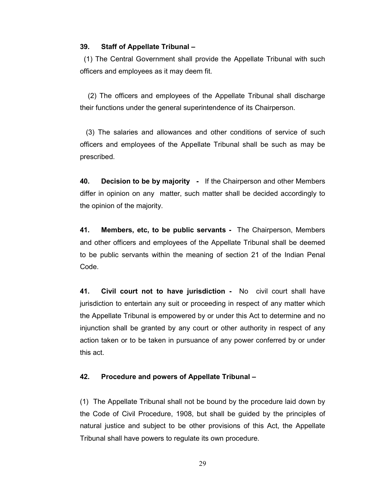#### 39. Staff of Appellate Tribunal –

 (1) The Central Government shall provide the Appellate Tribunal with such officers and employees as it may deem fit.

 (2) The officers and employees of the Appellate Tribunal shall discharge their functions under the general superintendence of its Chairperson.

 (3) The salaries and allowances and other conditions of service of such officers and employees of the Appellate Tribunal shall be such as may be prescribed.

40. Decision to be by majority - If the Chairperson and other Members differ in opinion on any matter, such matter shall be decided accordingly to the opinion of the majority.

41. Members, etc, to be public servants - The Chairperson, Members and other officers and employees of the Appellate Tribunal shall be deemed to be public servants within the meaning of section 21 of the Indian Penal Code.

41. Civil court not to have jurisdiction - No civil court shall have jurisdiction to entertain any suit or proceeding in respect of any matter which the Appellate Tribunal is empowered by or under this Act to determine and no injunction shall be granted by any court or other authority in respect of any action taken or to be taken in pursuance of any power conferred by or under this act.

## 42. Procedure and powers of Appellate Tribunal –

(1) The Appellate Tribunal shall not be bound by the procedure laid down by the Code of Civil Procedure, 1908, but shall be guided by the principles of natural justice and subject to be other provisions of this Act, the Appellate Tribunal shall have powers to regulate its own procedure.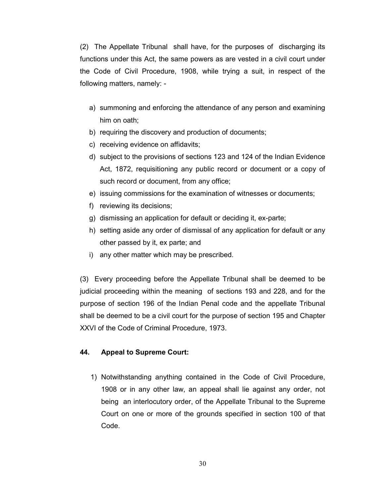(2) The Appellate Tribunal shall have, for the purposes of discharging its functions under this Act, the same powers as are vested in a civil court under the Code of Civil Procedure, 1908, while trying a suit, in respect of the following matters, namely: -

- a) summoning and enforcing the attendance of any person and examining him on oath;
- b) requiring the discovery and production of documents;
- c) receiving evidence on affidavits;
- d) subject to the provisions of sections 123 and 124 of the Indian Evidence Act, 1872, requisitioning any public record or document or a copy of such record or document, from any office;
- e) issuing commissions for the examination of witnesses or documents;
- f) reviewing its decisions;
- g) dismissing an application for default or deciding it, ex-parte;
- h) setting aside any order of dismissal of any application for default or any other passed by it, ex parte; and
- i) any other matter which may be prescribed.

(3) Every proceeding before the Appellate Tribunal shall be deemed to be judicial proceeding within the meaning of sections 193 and 228, and for the purpose of section 196 of the Indian Penal code and the appellate Tribunal shall be deemed to be a civil court for the purpose of section 195 and Chapter XXVI of the Code of Criminal Procedure, 1973.

## 44. Appeal to Supreme Court:

1) Notwithstanding anything contained in the Code of Civil Procedure, 1908 or in any other law, an appeal shall lie against any order, not being an interlocutory order, of the Appellate Tribunal to the Supreme Court on one or more of the grounds specified in section 100 of that Code.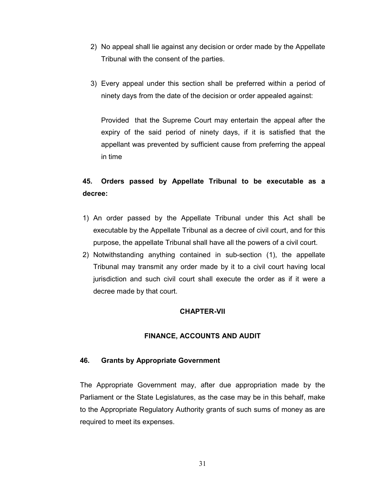- 2) No appeal shall lie against any decision or order made by the Appellate Tribunal with the consent of the parties.
- 3) Every appeal under this section shall be preferred within a period of ninety days from the date of the decision or order appealed against:

Provided that the Supreme Court may entertain the appeal after the expiry of the said period of ninety days, if it is satisfied that the appellant was prevented by sufficient cause from preferring the appeal in time

# 45. Orders passed by Appellate Tribunal to be executable as a decree:

- 1) An order passed by the Appellate Tribunal under this Act shall be executable by the Appellate Tribunal as a decree of civil court, and for this purpose, the appellate Tribunal shall have all the powers of a civil court.
- 2) Notwithstanding anything contained in sub-section (1), the appellate Tribunal may transmit any order made by it to a civil court having local jurisdiction and such civil court shall execute the order as if it were a decree made by that court.

# CHAPTER-VII

## FINANCE, ACCOUNTS AND AUDIT

## 46. Grants by Appropriate Government

The Appropriate Government may, after due appropriation made by the Parliament or the State Legislatures, as the case may be in this behalf, make to the Appropriate Regulatory Authority grants of such sums of money as are required to meet its expenses.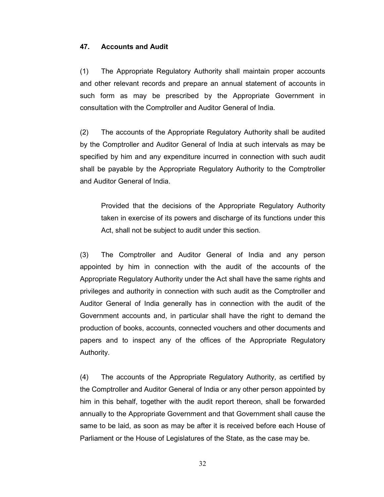#### 47. Accounts and Audit

(1) The Appropriate Regulatory Authority shall maintain proper accounts and other relevant records and prepare an annual statement of accounts in such form as may be prescribed by the Appropriate Government in consultation with the Comptroller and Auditor General of India.

(2) The accounts of the Appropriate Regulatory Authority shall be audited by the Comptroller and Auditor General of India at such intervals as may be specified by him and any expenditure incurred in connection with such audit shall be payable by the Appropriate Regulatory Authority to the Comptroller and Auditor General of India.

Provided that the decisions of the Appropriate Regulatory Authority taken in exercise of its powers and discharge of its functions under this Act, shall not be subject to audit under this section.

(3) The Comptroller and Auditor General of India and any person appointed by him in connection with the audit of the accounts of the Appropriate Regulatory Authority under the Act shall have the same rights and privileges and authority in connection with such audit as the Comptroller and Auditor General of India generally has in connection with the audit of the Government accounts and, in particular shall have the right to demand the production of books, accounts, connected vouchers and other documents and papers and to inspect any of the offices of the Appropriate Regulatory Authority.

(4) The accounts of the Appropriate Regulatory Authority, as certified by the Comptroller and Auditor General of India or any other person appointed by him in this behalf, together with the audit report thereon, shall be forwarded annually to the Appropriate Government and that Government shall cause the same to be laid, as soon as may be after it is received before each House of Parliament or the House of Legislatures of the State, as the case may be.

32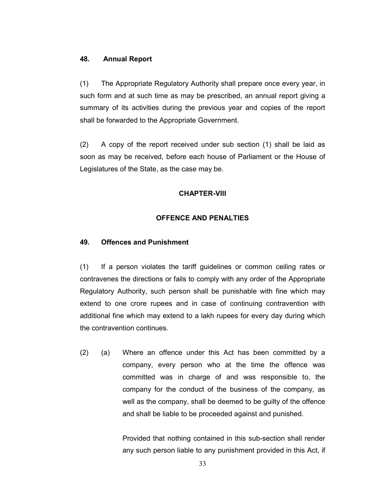### 48. Annual Report

(1) The Appropriate Regulatory Authority shall prepare once every year, in such form and at such time as may be prescribed, an annual report giving a summary of its activities during the previous year and copies of the report shall be forwarded to the Appropriate Government.

(2) A copy of the report received under sub section (1) shall be laid as soon as may be received, before each house of Parliament or the House of Legislatures of the State, as the case may be.

# CHAPTER-VIII

## OFFENCE AND PENALTIES

#### 49. Offences and Punishment

(1) If a person violates the tariff guidelines or common ceiling rates or contravenes the directions or fails to comply with any order of the Appropriate Regulatory Authority, such person shall be punishable with fine which may extend to one crore rupees and in case of continuing contravention with additional fine which may extend to a lakh rupees for every day during which the contravention continues.

(2) (a) Where an offence under this Act has been committed by a company, every person who at the time the offence was committed was in charge of and was responsible to, the company for the conduct of the business of the company, as well as the company, shall be deemed to be guilty of the offence and shall be liable to be proceeded against and punished.

> Provided that nothing contained in this sub-section shall render any such person liable to any punishment provided in this Act, if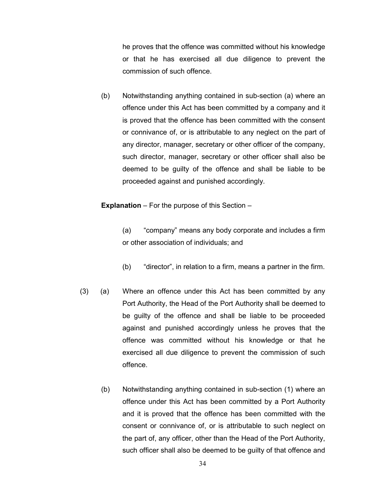he proves that the offence was committed without his knowledge or that he has exercised all due diligence to prevent the commission of such offence.

(b) Notwithstanding anything contained in sub-section (a) where an offence under this Act has been committed by a company and it is proved that the offence has been committed with the consent or connivance of, or is attributable to any neglect on the part of any director, manager, secretary or other officer of the company, such director, manager, secretary or other officer shall also be deemed to be guilty of the offence and shall be liable to be proceeded against and punished accordingly.

Explanation – For the purpose of this Section –

(a) "company" means any body corporate and includes a firm or other association of individuals; and

- (b) "director", in relation to a firm, means a partner in the firm.
- (3) (a) Where an offence under this Act has been committed by any Port Authority, the Head of the Port Authority shall be deemed to be guilty of the offence and shall be liable to be proceeded against and punished accordingly unless he proves that the offence was committed without his knowledge or that he exercised all due diligence to prevent the commission of such offence.
	- (b) Notwithstanding anything contained in sub-section (1) where an offence under this Act has been committed by a Port Authority and it is proved that the offence has been committed with the consent or connivance of, or is attributable to such neglect on the part of, any officer, other than the Head of the Port Authority, such officer shall also be deemed to be guilty of that offence and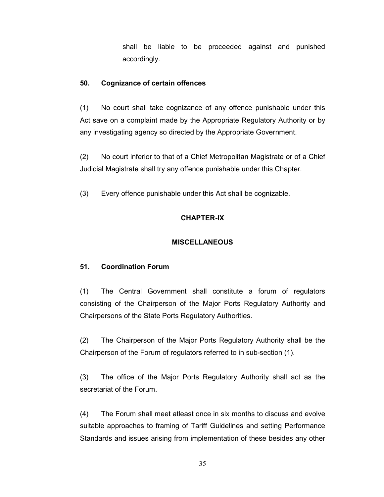shall be liable to be proceeded against and punished accordingly.

# 50. Cognizance of certain offences

(1) No court shall take cognizance of any offence punishable under this Act save on a complaint made by the Appropriate Regulatory Authority or by any investigating agency so directed by the Appropriate Government.

(2) No court inferior to that of a Chief Metropolitan Magistrate or of a Chief Judicial Magistrate shall try any offence punishable under this Chapter.

(3) Every offence punishable under this Act shall be cognizable.

# CHAPTER-IX

# **MISCELLANEOUS**

# 51. Coordination Forum

(1) The Central Government shall constitute a forum of regulators consisting of the Chairperson of the Major Ports Regulatory Authority and Chairpersons of the State Ports Regulatory Authorities.

(2) The Chairperson of the Major Ports Regulatory Authority shall be the Chairperson of the Forum of regulators referred to in sub-section (1).

(3) The office of the Major Ports Regulatory Authority shall act as the secretariat of the Forum.

(4) The Forum shall meet atleast once in six months to discuss and evolve suitable approaches to framing of Tariff Guidelines and setting Performance Standards and issues arising from implementation of these besides any other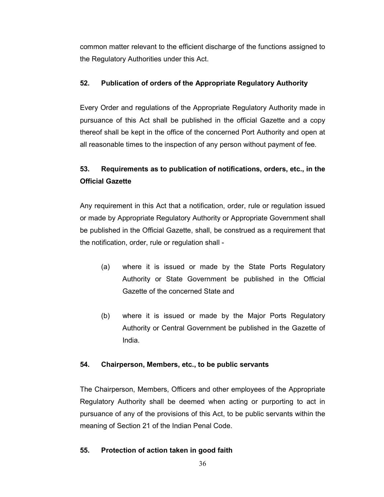common matter relevant to the efficient discharge of the functions assigned to the Regulatory Authorities under this Act.

# 52. Publication of orders of the Appropriate Regulatory Authority

Every Order and regulations of the Appropriate Regulatory Authority made in pursuance of this Act shall be published in the official Gazette and a copy thereof shall be kept in the office of the concerned Port Authority and open at all reasonable times to the inspection of any person without payment of fee.

# 53. Requirements as to publication of notifications, orders, etc., in the Official Gazette

Any requirement in this Act that a notification, order, rule or regulation issued or made by Appropriate Regulatory Authority or Appropriate Government shall be published in the Official Gazette, shall, be construed as a requirement that the notification, order, rule or regulation shall -

- (a) where it is issued or made by the State Ports Regulatory Authority or State Government be published in the Official Gazette of the concerned State and
- (b) where it is issued or made by the Major Ports Regulatory Authority or Central Government be published in the Gazette of India.

## 54. Chairperson, Members, etc., to be public servants

The Chairperson, Members, Officers and other employees of the Appropriate Regulatory Authority shall be deemed when acting or purporting to act in pursuance of any of the provisions of this Act, to be public servants within the meaning of Section 21 of the Indian Penal Code.

## 55. Protection of action taken in good faith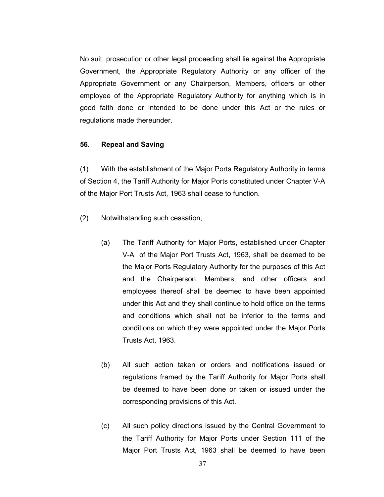No suit, prosecution or other legal proceeding shall lie against the Appropriate Government, the Appropriate Regulatory Authority or any officer of the Appropriate Government or any Chairperson, Members, officers or other employee of the Appropriate Regulatory Authority for anything which is in good faith done or intended to be done under this Act or the rules or regulations made thereunder.

### 56. Repeal and Saving

(1) With the establishment of the Major Ports Regulatory Authority in terms of Section 4, the Tariff Authority for Major Ports constituted under Chapter V-A of the Major Port Trusts Act, 1963 shall cease to function.

- (2) Notwithstanding such cessation,
	- (a) The Tariff Authority for Major Ports, established under Chapter V-A of the Major Port Trusts Act, 1963, shall be deemed to be the Major Ports Regulatory Authority for the purposes of this Act and the Chairperson, Members, and other officers and employees thereof shall be deemed to have been appointed under this Act and they shall continue to hold office on the terms and conditions which shall not be inferior to the terms and conditions on which they were appointed under the Major Ports Trusts Act, 1963.
	- (b) All such action taken or orders and notifications issued or regulations framed by the Tariff Authority for Major Ports shall be deemed to have been done or taken or issued under the corresponding provisions of this Act.
	- (c) All such policy directions issued by the Central Government to the Tariff Authority for Major Ports under Section 111 of the Major Port Trusts Act, 1963 shall be deemed to have been